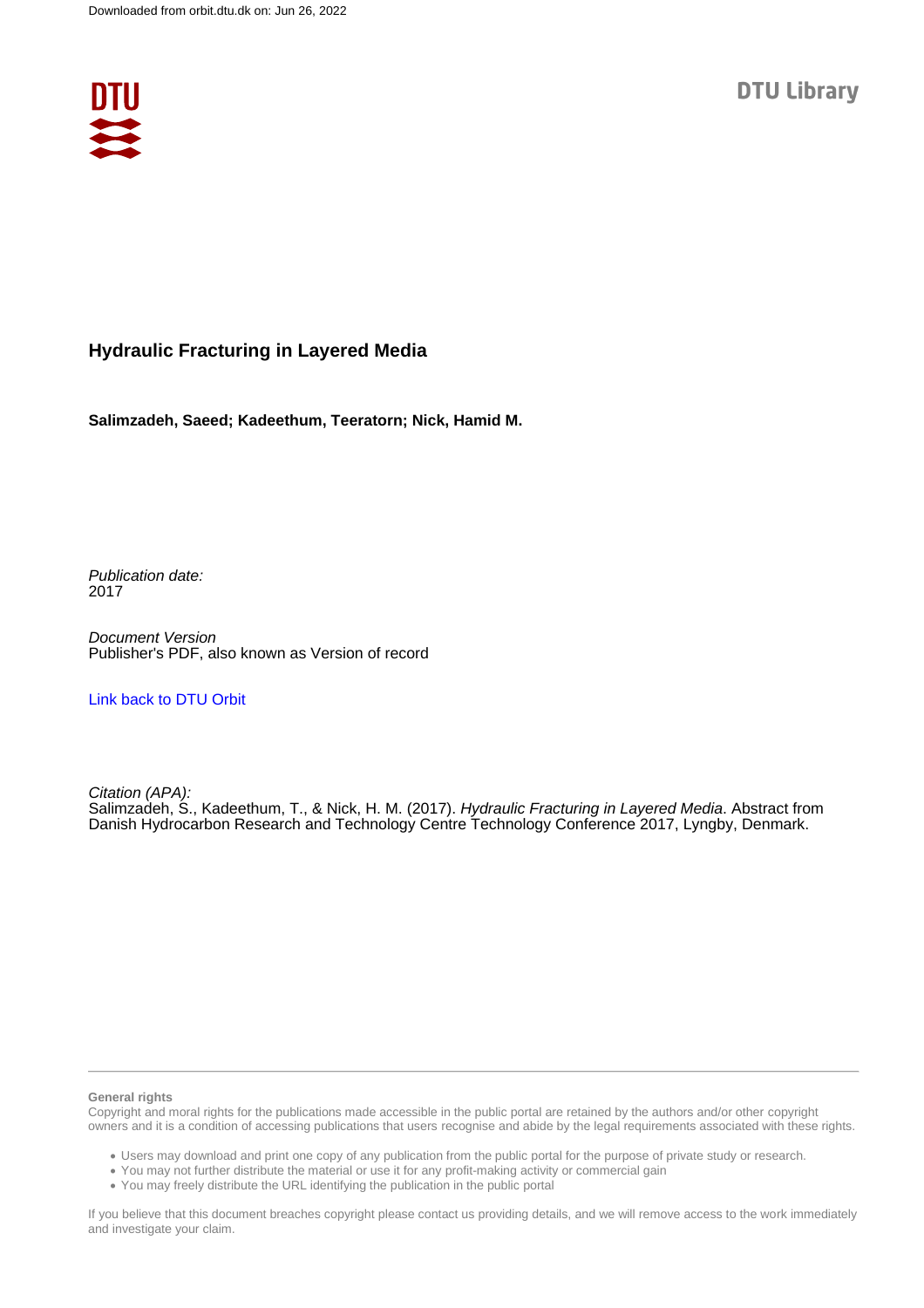

### **Hydraulic Fracturing in Layered Media**

**Salimzadeh, Saeed; Kadeethum, Teeratorn; Nick, Hamid M.**

Publication date: 2017

Document Version Publisher's PDF, also known as Version of record

[Link back to DTU Orbit](https://orbit.dtu.dk/en/publications/fe08d26a-96c9-4133-859f-5ef42e8fdf6d)

Citation (APA): Salimzadeh, S., Kadeethum, T., & Nick, H. M. (2017). *Hydraulic Fracturing in Layered Media*. Abstract from Danish Hydrocarbon Research and Technology Centre Technology Conference 2017, Lyngby, Denmark.

#### **General rights**

Copyright and moral rights for the publications made accessible in the public portal are retained by the authors and/or other copyright owners and it is a condition of accessing publications that users recognise and abide by the legal requirements associated with these rights.

Users may download and print one copy of any publication from the public portal for the purpose of private study or research.

- You may not further distribute the material or use it for any profit-making activity or commercial gain
- You may freely distribute the URL identifying the publication in the public portal

If you believe that this document breaches copyright please contact us providing details, and we will remove access to the work immediately and investigate your claim.